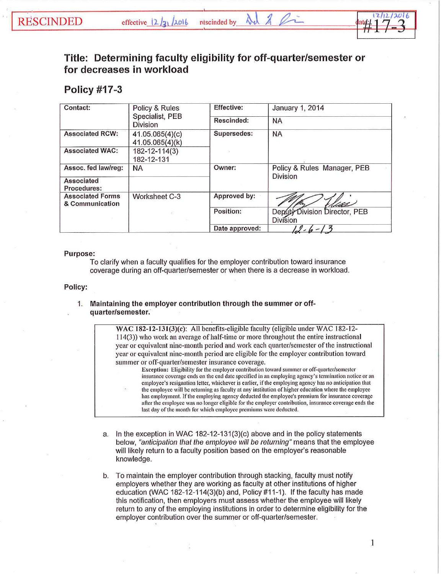# **Title: Determining faculty eligibility for off-quarter/semester or for decreases in workload**

## **Policy #17-3**

| Contact:                                   | Policy & Rules<br>Specialist, PEB<br><b>Division</b> | Effective:     | January 1, 2014                                  |
|--------------------------------------------|------------------------------------------------------|----------------|--------------------------------------------------|
|                                            |                                                      | Rescinded:     | <b>NA</b>                                        |
| <b>Associated RCW:</b>                     | 41.05.065(4)(c)<br>41.05.065(4)(k)                   | Supersedes:    | <b>NA</b>                                        |
| <b>Associated WAC:</b>                     | 182-12-114(3)<br>182-12-131                          |                |                                                  |
| Assoc. fed law/reg:                        | <b>NA</b>                                            | Owner:         | Policy & Rules Manager, PEB<br><b>Division</b>   |
| Associated<br>Procedures:                  |                                                      |                |                                                  |
| <b>Associated Forms</b><br>& Communication | Worksheet C-3                                        | Approved by:   | rdas                                             |
|                                            | s)                                                   | Position:      | Deputy Division Director, PEB<br><b>Division</b> |
|                                            |                                                      | Date approved: |                                                  |

#### Purpose:

To clarify when a faculty qualifies for the employer contribution toward insurance coverage during an off-quarter/semester or when there is a decrease in workload.

Policy:

### 1. Maintaining the employer contribution through the summer or offquarter/semester.

WAC 182-12-131(3)(c): All benefits-eligible faculty (eligible under WAC 182-12-114(3)) who work an average of half-time or more throughout the entire instructional year or equivalent nine-month period and work each quarter/semester of the instrnctional year or equivalent nine-month period are eligible for the employer contribution toward summer or off-quarter/semester insurance coverage.

Exception: Eligibility for the employer contribution toward summer or off-quarter/semester insurance coverage ends on the end date specified in an employing agency's termination notice or an employee's resignation letter, whichever is earlier, if the employing agency has no anticipation that the employee will be returning as faculty at any institution of higher education where the employee has employment. If the employing agency deducted the employee's premium for insurance coverage after the employee was no longer eligible for the employer contribution, insurance coverage ends the last day of the month for which employee premiums were deducted.

- a. In the exception in WAC 182-12-131(3)(c) above and in the policy statements below, "anticipation that the employee will be returning" means that the employee will likely return to a faculty position based on the employer's reasonable knowledge.
- b. To maintain the employer contribution through stacking, faculty must notify employers whether they are working as faculty at other institutions of higher education (WAC 182-12-114(3)(b) and, Policy #11-1 ). If the faculty has made this notification, then employers must assess whether the employee will likely return to any of the employing institutions in order to determine eligibility for the employer contribution over the summer or off-quarter/semester.

1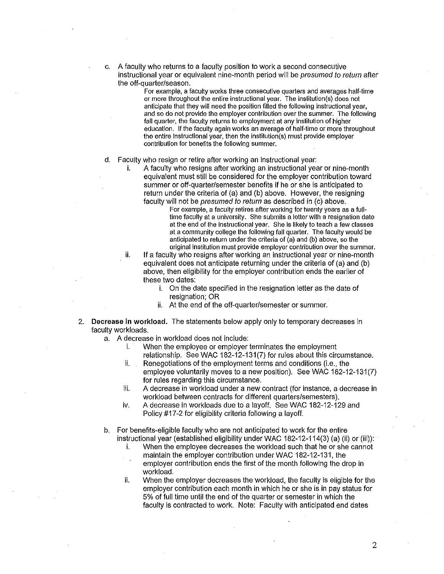A faculty who returns to a faculty position to work a second consecutive instructional year or equivalent nine-month period will be *presumed to return* after the off-quarter/season.

> For example, a faculty works three consecutive quarters and averages half-time or more throughout the entire instructional year. The institution(s) does not anticipate that they will need the position filled the following instructional year, and so do not provide the employer contribution over the summer. The following fall quarter, the faculty returns to employment at any institution of higher education. If the faculty again works an average of half-time or more throughout the entire instructional year, then the institution(s) must provide employer contribution for benefits the following summer.

#### d. Faculty who resign or retire after working an instructional year:

i. A faculty who resigns after working an instructional year or nine-month equivalent must still be considered for the employer contribution toward summer or off-quarter/semester benefits if he or she is anticipated to return under the criteria of (a) and (b) above. However, the resigning faculty will not be presumed to return as described in (c) above.

For example, a faculty retires after working for twenty years as a fulltime faculty at a university. She submits a letter with a resignation date at the end of the instructional year. She is likely to teach a few classes at a community college the following fall quarter. The faculty would be anticipated to return under the criteria of (a) and (b) above, so the original institution must provide employer contribution over the summer.

ii. If a faculty who resigns after working an instructional year or nine-month equivalent does not anticipate returning under the criteria of (a) and (b) above, then eligibility for the employer contribution ends the earlier of these two dates:

- i. On the date specified in the resignation letter as the date of resignation; OR
- ii. At the end of the off-quarter/semester or summer.
- 2. Decrease **in workload.** The statements below apply only to temporary decreases in faculty workloads.
	- a. A decrease in workload does not include:
		- i. When the employee or employer terminates the employment relationship. See WAC 182-12-131(7) for rules about this circumstance.
		- ii. Renegotiations of the employment terms and conditions (i.e., the employee voluntarily moves to a new position). See WAC 182-12-131(7) for rules regarding this circumstance.
		- iii. A decrease in workload under a new contract (for instance, a decrease in workload between contracts for different quarters/semesters).
		- iv. A decrease in workloads due to a layoff. See WAC 182-12-129 and Policy #17 -2 for eligibility criteria following a layoff.
	- b. For benefits-eligible faculty who are not anticipated to work for the entire instructional year (established eligibility under WAC 182-12-114(3) (a) (ii) or (iii)):
		- i. When the employee decreases the workload such that he or she cannot maintain the employer contribution under WAC 182-12-131, the
		- employer contribution ends the first of the month following the drop in workload.
		- ii. When the employer decreases the workload, the faculty is eligible for the employer contribution each month in which he or she is in pay status for 5% of full time until the end of the quarter or semester in which the faculty is contracted to work. Note: Faculty with anticipated end dates

2